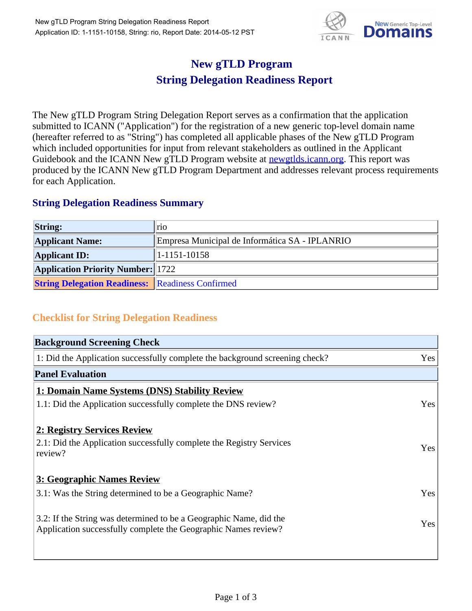

## **New gTLD Program String Delegation Readiness Report**

The New gTLD Program String Delegation Report serves as a confirmation that the application submitted to ICANN ("Application") for the registration of a new generic top-level domain name (hereafter referred to as "String") has completed all applicable phases of the New gTLD Program which included opportunities for input from relevant stakeholders as outlined in the Applicant Guidebook and the ICANN New gTLD Program website at newgtlds.icann.org. This report was produced by the ICANN New gTLD Program Department and addresses relevant process requirements for each Application.

## **String Delegation Readiness Summary**

| <b>String:</b>                                          | lrio.                                          |
|---------------------------------------------------------|------------------------------------------------|
| <b>Applicant Name:</b>                                  | Empresa Municipal de Informática SA - IPLANRIO |
| <b>Applicant ID:</b>                                    | 1-1151-10158                                   |
| <b>Application Priority Number:</b> 1722                |                                                |
| <b>String Delegation Readiness: Readiness Confirmed</b> |                                                |

## **Checklist for String Delegation Readiness**

| <b>Background Screening Check</b> |  |  |
|-----------------------------------|--|--|
| Yes                               |  |  |
|                                   |  |  |
|                                   |  |  |
| Yes                               |  |  |
|                                   |  |  |
| <b>Yes</b>                        |  |  |
|                                   |  |  |
| Yes                               |  |  |
| Yes                               |  |  |
|                                   |  |  |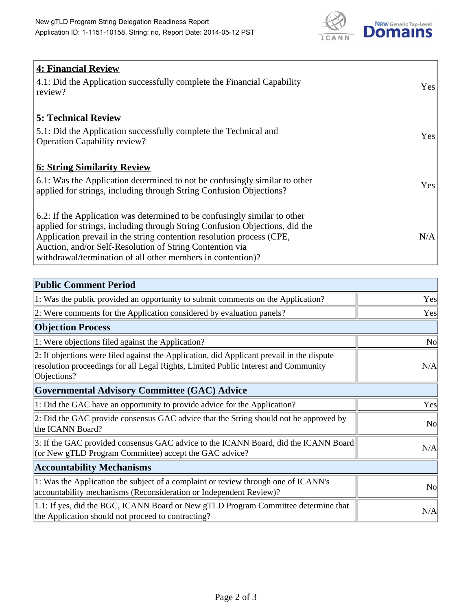

| <b>4: Financial Review</b>                                                  |     |
|-----------------------------------------------------------------------------|-----|
| 4.1: Did the Application successfully complete the Financial Capability     | Yes |
| review?                                                                     |     |
|                                                                             |     |
| <b>5: Technical Review</b>                                                  |     |
| 5.1: Did the Application successfully complete the Technical and            |     |
| <b>Operation Capability review?</b>                                         | Yes |
|                                                                             |     |
| <b>6: String Similarity Review</b>                                          |     |
| 6.1: Was the Application determined to not be confusingly similar to other  | Yes |
| applied for strings, including through String Confusion Objections?         |     |
|                                                                             |     |
| 6.2: If the Application was determined to be confusingly similar to other   |     |
| applied for strings, including through String Confusion Objections, did the |     |
| Application prevail in the string contention resolution process (CPE,       | N/A |
| Auction, and/or Self-Resolution of String Contention via                    |     |
| withdrawal/termination of all other members in contention)?                 |     |

| <b>Public Comment Period</b>                                                                                                                                                                   |                |
|------------------------------------------------------------------------------------------------------------------------------------------------------------------------------------------------|----------------|
| 1: Was the public provided an opportunity to submit comments on the Application?                                                                                                               | Yes            |
| 2: Were comments for the Application considered by evaluation panels?                                                                                                                          | Yes            |
| <b>Objection Process</b>                                                                                                                                                                       |                |
| 1: Were objections filed against the Application?                                                                                                                                              | <b>No</b>      |
| 2: If objections were filed against the Application, did Applicant prevail in the dispute<br>resolution proceedings for all Legal Rights, Limited Public Interest and Community<br>Objections? | N/A            |
| <b>Governmental Advisory Committee (GAC) Advice</b>                                                                                                                                            |                |
| 1: Did the GAC have an opportunity to provide advice for the Application?                                                                                                                      | Yes            |
| 2: Did the GAC provide consensus GAC advice that the String should not be approved by<br>the ICANN Board?                                                                                      | N <sub>o</sub> |
| 3: If the GAC provided consensus GAC advice to the ICANN Board, did the ICANN Board<br>(or New gTLD Program Committee) accept the GAC advice?                                                  | N/A            |
| <b>Accountability Mechanisms</b>                                                                                                                                                               |                |
| 1: Was the Application the subject of a complaint or review through one of ICANN's<br>accountability mechanisms (Reconsideration or Independent Review)?                                       | N <sub>o</sub> |
| 1.1: If yes, did the BGC, ICANN Board or New gTLD Program Committee determine that<br>the Application should not proceed to contracting?                                                       | N/A            |